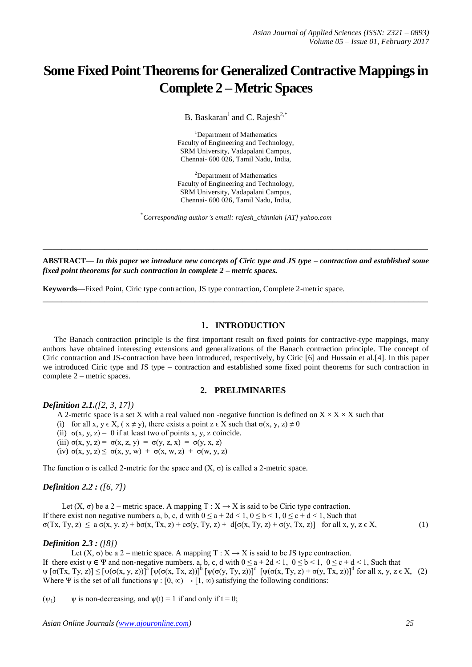# **Some Fixed Point Theorems for Generalized Contractive Mappings in Complete 2 – Metric Spaces**

B. Baskaran<sup>1</sup> and C. Rajesh<sup>2,\*</sup>

<sup>1</sup>Department of Mathematics Faculty of Engineering and Technology, SRM University, Vadapalani Campus, Chennai- 600 026, Tamil Nadu, India,

<sup>2</sup>Department of Mathematics Faculty of Engineering and Technology, SRM University, Vadapalani Campus, Chennai- 600 026, Tamil Nadu, India,

\* *Corresponding author's email: rajesh\_chinniah [AT] yahoo.com*

**ABSTRACT—** *In this paper we introduce new concepts of Ciric type and JS type – contraction and established some fixed point theorems for such contraction in complete 2 – metric spaces.*

**\_\_\_\_\_\_\_\_\_\_\_\_\_\_\_\_\_\_\_\_\_\_\_\_\_\_\_\_\_\_\_\_\_\_\_\_\_\_\_\_\_\_\_\_\_\_\_\_\_\_\_\_\_\_\_\_\_\_\_\_\_\_\_\_\_\_\_\_\_\_\_\_\_\_\_\_\_\_\_\_\_**

**\_\_\_\_\_\_\_\_\_\_\_\_\_\_\_\_\_\_\_\_\_\_\_\_\_\_\_\_\_\_\_\_\_\_\_\_\_\_\_\_\_\_\_\_\_\_\_\_\_\_\_\_\_\_\_\_\_\_\_\_\_\_\_\_\_\_\_\_\_\_\_\_\_\_\_\_\_\_\_\_\_**

**Keywords—**Fixed Point, Ciric type contraction, JS type contraction, Complete 2-metric space.

## **1. INTRODUCTION**

The Banach contraction principle is the first important result on fixed points for contractive-type mappings, many authors have obtained interesting extensions and generalizations of the Banach contraction principle. The concept of Ciric contraction and JS-contraction have been introduced, respectively, by Ciric [6] and Hussain et al.[4]. In this paper we introduced Ciric type and JS type – contraction and established some fixed point theorems for such contraction in complete 2 – metric spaces.

## **2. PRELIMINARIES**

#### *Definition 2.1.([2, 3, 17])*

A 2-metric space is a set X with a real valued non-negative function is defined on  $X \times X \times X$  such that

- (i) for all x,  $y \in X$ ,  $(x \neq y)$ , there exists a point  $z \in X$  such that  $\sigma(x, y, z) \neq 0$
- (ii)  $\sigma(x, y, z) = 0$  if at least two of points x, y, z coincide.
- (iii)  $\sigma(x, y, z) = \sigma(x, z, y) = \sigma(y, z, x) = \sigma(y, x, z)$
- (iv)  $\sigma(x, y, z) \leq \sigma(x, y, w) + \sigma(x, w, z) + \sigma(w, y, z)$

The function  $\sigma$  is called 2-metric for the space and  $(X, \sigma)$  is called a 2-metric space.

## *Definition 2.2 : ([6, 7])*

Let  $(X, \sigma)$  be a 2 – metric space. A mapping T :  $X \rightarrow X$  is said to be Ciric type contraction. If there exist non negative numbers a, b, c, d with  $0 \le a + 2d < 1$ ,  $0 \le b < 1$ ,  $0 \le c + d < 1$ , Such that  $σ(Tx, Ty, z) \le a σ(x, y, z) + bσ(x, Tx, z) + cσ(y, Ty, z) + d[σ(x, Ty, z) + σ(y, Tx, z)]$  for all x, y, z  $ε X$ , (1)

## *Definition 2.3 : ([8])*

Let  $(X, \sigma)$  be a 2 – metric space. A mapping  $T : X \to X$  is said to be JS type contraction. If there exist  $\psi \in \Psi$  and non-negative numbers. a, b, c, d with  $0 \le a + 2d < 1$ ,  $0 \le b < 1$ ,  $0 \le c + d < 1$ , Such that  $\psi$  [σ(Tx, Ty, z)]  $\leq [\psi(\sigma(x, y, z))]^a [\psi(\sigma(x, Tx, z))]^b [\psi(\sigma(y, Ty, z))]^c [\psi(\sigma(x, Ty, z) + \sigma(y, Tx, z))]^d$  for all x, y, z  $\in$  X, (2) Where Ψ is the set of all functions  $\psi : [0, \infty) \to [1, \infty)$  satisfying the following conditions:

 $(\psi_1)$   $\psi$  is non-decreasing, and  $\psi(t) = 1$  if and only if  $t = 0$ ;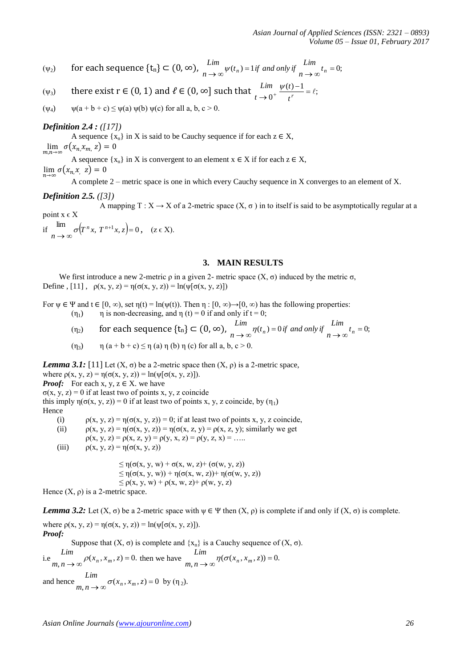*Asian Journal of Applied Sciences (ISSN: 2321 – 0893) Volume 05 – Issue 01, February 2017*

- ( $\psi_2$ ) for each sequence  $\{\mathbf{t}_n\} \subset (0, \infty)$ ,  $\lim_{n \to \infty} \psi(t_n) = 1$  *if and only if*  $\lim_{n \to \infty} t_n = 0$ ;  $\lim_{n \to \infty} \psi(t_n) = 1$  *if* and only *if*  $\lim_{n \to \infty}$ *Lim*
- (ψ<sub>3</sub>) there exist r ∈ (0, 1) and  $\ell$  ∈ (0, ∞] such that  $\lim_{x \to 0^+} \frac{\ell^2 \ell^2}{x} = \ell$ ;  $\frac{n}{0^+} \frac{\psi(t)-1}{t^r} = \ell$  $\rightarrow 0^+$  *t' t t Lim*
- $(\psi_4)$   $\psi(a+b+c) \leq \psi(a) \psi(b) \psi(c)$  for all a, b, c > 0.

## *Definition 2.4 : ([17])*

A sequence  $\{x_n\}$  in X is said to be Cauchy sequence if for each  $z \in X$ ,  $\lim_{n,m\to\infty}\sigma(x_{n,}x_{m,}z)=0$ A sequence  $\{x_n\}$  in X is convergent to an element  $x \in X$  if for each  $z \in X$ ,  $\lim_{n \to \infty} \sigma(x_{n,x}, z) = 0$ 

A complete 2 – metric space is one in which every Cauchy sequence in X converges to an element of X.

#### *Definition 2.5. ([3])*

A mapping  $T : X \to X$  of a 2-metric space  $(X, \sigma)$  in to itself is said to be asymptotically regular at a point  $x \in X$ 

if  $\lim_{n \to \infty} \sigma(T^n x, T^{n+1} x, z) = 0$  $\sigma(T^n x, T^{n+1} x, z) = 0, \quad (z \in X).$ 

## **3. MAIN RESULTS**

We first introduce a new 2-metric  $ρ$  in a given 2- metric space  $(X, σ)$  induced by the metric  $σ$ , Define , [11],  $\rho(x, y, z) = \eta(\sigma(x, y, z)) = \ln(\psi[\sigma(x, y, z)])$ 

For  $\psi \in \Psi$  and  $t \in [0, \infty)$ , set  $\eta(t) = \ln(\psi(t))$ . Then  $\eta : [0, \infty) \to [0, \infty)$  has the following properties: ( $\eta_1$ )  $\eta$  is non-decreasing, and  $\eta$  (t) = 0 if and only if t = 0;

- ( $\eta_2$ ) for each sequence  $\{t_n\} \subset (0, \infty)$ ,  $\lim_{n \to \infty} \eta(t_n) = 0$  *if and only if*  $\lim_{n \to \infty} t_n = 0$ ;  $\lim_{n \to \infty} \eta(t_n) = 0$  *if* and only *if*  $\lim_{n \to \infty}$ *Lim*
- (η<sub>3</sub>)  $\eta (a + b + c) \leq \eta (a) \eta (b) \eta (c)$  for all a, b, c > 0.

*Lemma 3.1:* [11] Let  $(X, \sigma)$  be a 2-metric space then  $(X, \rho)$  is a 2-metric space,

where  $\rho(x, y, z) = \eta(\sigma(x, y, z)) = \ln(\psi[\sigma(x, y, z)]).$ 

*Proof:* For each x, y,  $z \in X$ . we have

σ(x, y, z) = 0 if at least two of points x, y, z coincide

this imply  $\eta(\sigma(x, y, z)) = 0$  if at least two of points x, y, z coincide, by  $(\eta_1)$ Hence

(i)  $\rho(x, y, z) = \eta(\sigma(x, y, z)) = 0$ ; if at least two of points x, y, z coincide,

(ii)  $\rho(x, y, z) = \eta(\sigma(x, y, z)) = \eta(\sigma(x, z, y)) = \rho(x, z, y)$ ; similarly we get

 $\rho(x, y, z) = \rho(x, z, y) = \rho(y, x, z) = \rho(y, z, x) = \dots$ 

(iii)  $\rho(x, y, z) = \eta(\sigma(x, y, z))$ 

 $\leq \eta(\sigma(x, y, w) + \sigma(x, w, z) + (\sigma(w, y, z))$  $\leq \eta(\sigma(x, y, w)) + \eta(\sigma(x, w, z)) + \eta(\sigma(w, y, z))$  $\leq \rho(x, y, w) + \rho(x, w, z) + \rho(w, y, z)$ 

Hence  $(X, \rho)$  is a 2-metric space.

*Lemma 3.2:* Let  $(X, \sigma)$  be a 2-metric space with  $\psi \in \Psi$  then  $(X, \rho)$  is complete if and only if  $(X, \sigma)$  is complete. where  $p(x, y, z) = \eta(\sigma(x, y, z)) = \ln(\psi[\sigma(x, y, z)]).$ *Proof:* Suppose that  $(X, \sigma)$  is complete and  $\{x_n\}$  is a Cauchy sequence of  $(X, \sigma)$ . *Lim Lim*

i.e  $m, n \rightarrow \infty$   $\rho(x_n, x_m, z) = 0.$  $\rho(x_n, x_m, z) = 0$ . then we have  $\lim_{m,n \to \infty} \eta(\sigma(x_n, x_m, z)) = 0$ .  $\eta(\sigma(x_n, x_m))$ *Lim*

and hence  $m, n \to \infty$   $\sigma(x_n, x_m, z) = 0$  $\sigma(x_n, x_m, z) = 0$  by  $(\eta_2)$ .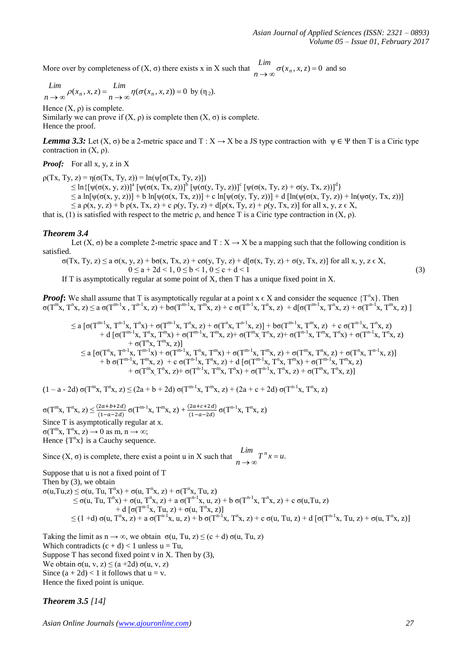More over by completeness of  $(X, \sigma)$  there exists x in X such that  $\int_{n \to \infty}^{\infty} \sigma(x_n, x, z) = 0$ *Lim*  $\sigma(x_n, x, z) = 0$  and so

$$
\lim_{n \to \infty} \rho(x_n, x, z) = \lim_{n \to \infty} \eta(\sigma(x_n, x, z)) = 0 \text{ by } (\eta_2).
$$

Hence  $(X, \rho)$  is complete.

Similarly we can prove if  $(X, \rho)$  is complete then  $(X, \sigma)$  is complete. Hence the proof.

*Lemma 3.3:* Let  $(X, \sigma)$  be a 2-metric space and  $T : X \to X$  be a JS type contraction with  $\psi \in \Psi$  then T is a Ciric type contraction in  $(X, \rho)$ .

*Proof:* For all x, y, z in X

 $p(Tx, Ty, z) = \eta(\sigma(Tx, Ty, z)) = \ln(\psi[\sigma(Tx, Ty, z)])$ 

 $\leq \ln\{\left[\psi(\sigma(x, y, z))\right]^{\alpha} \left[\psi(\sigma(x, Tx, z))\right]^{\beta} \left[\psi(\sigma(y, Ty, z))\right]^{\mathcal{C}} \left[\psi(\sigma(x, Ty, z) + \sigma(y, Tx, z))\right]^{\mathcal{d}}\right\}$  $\leq$  a ln[ $\psi(\sigma(x, y, z))$ ] + b ln[ $\psi(\sigma(x, Tx, z))$ ] + c ln[ $\psi(\sigma(y, Ty, z))$ ] + d [ln( $\psi(\sigma(x, Ty, z))$  + ln( $\psi(\sigma(y, Tx, z))$ ]

 $\leq$  a  $\rho(x, y, z)$  + b  $\rho(x, Tx, z)$  + c  $\rho(y, Ty, z)$  + d[ $\rho(x, Ty, z)$  +  $\rho(y, Tx, z)$ ] for all x, y, z  $\in$  X,

that is, (1) is satisfied with respect to the metric  $\rho$ , and hence T is a Ciric type contraction in  $(X, \rho)$ .

## *Theorem 3.4*

Let  $(X, \sigma)$  be a complete 2-metric space and T :  $X \to X$  be a mapping such that the following condition is satisfied.

$$
\sigma(Tx, Ty, z) \le a \sigma(x, y, z) + b\sigma(x, Tx, z) + c\sigma(y, Ty, z) + d[\sigma(x, Ty, z) + \sigma(y, Tx, z)] \text{ for all } x, y, z \in X, 0 \le a + 2d < 1, 0 \le b < 1, 0 \le c + d < 1
$$
\n(3)

If T is asymptotically regular at some point of X, then T has a unique fixed point in X.

*Proof*: We shall assume that T is asymptotically regular at a point  $x \in X$  and consider the sequence  $\{T^n x\}$ . Then  $\sigma(T^{m}x, T^{n}x, z) \le a \sigma(T^{m-1}x, T^{n-1}x, z) + b\sigma(T^{m-1}x, T^{m}x, z) + c \sigma(T^{n-1}x, T^{n}x, z) + d[\sigma(T^{m-1}x, T^{n}x, z) + \sigma(T^{n-1}x, T^{m}x, z)]$ 

$$
\leq a\;[\sigma(T^{m-1}x,T^{n-1}x,T^nx)+\sigma(T^{m-1}x,T^nx,z)+\sigma(T^nx,T^nx,z)]+b\sigma(T^{m-1}x,T^mx,z)+c(T^{n-1}x,T^nx,z)\\+d\;[\sigma(T^{m-1}x,T^nx,T^mx)+\sigma(T^{m-1}x,T^mx,z)+\sigma(T^mx,T^nx,z)+\sigma(T^{n-1}x,T^mx,T^nx)+\sigma(T^{n-1}x,T^mx,z)\\+\sigma(T^nx,T^mx,z)]\\ \leq a\;[\sigma(T^nx,T^{n-1}x,T^{m-1}x)+\sigma(T^{m-1}x,T^nx,T^mx)+\sigma(T^{m-1}x,T^mx,z)+\sigma(T^mx,T^nx,z)+\sigma(T^nx,T^nx,z)+\sigma(T^{m-1}x,T^mx,z)\\+b\;\sigma(T^{m-1}x,T^mx,z)+c\;\sigma(T^{n-1}x,T^nx,z)+d\;[\sigma(T^{m-1}x,T^mx,T^mx)+\sigma(T^{m-1}x,T^mx,z)\\+\sigma(T^mx,T^nx,z)+\sigma(T^{n-1}x,T^mx,T^nx)+\sigma(T^{m-1}x,T^nx,z)+\sigma(T^mx,T^nx,z)]
$$

 $(1 - a - 2d) \sigma(T^{m}x, T^{n}x, z) \le (2a + b + 2d) \sigma(T^{m-1}x, T^{m}x, z) + (2a + c + 2d) \sigma(T^{n-1}x, T^{n}x, z)$ 

 $\sigma(T^{m}x, T^{n}x, z) \leq \frac{(2a+b+2d)}{(1-a-2d)} \sigma(T^{m-1}x, T^{m}x, z) + \frac{(2a+c+2d)}{(1-a-2d)}$  $\frac{(2a+c+2a)}{(1-a-2a)}$   $\sigma(T^{n-1}x, T^n x, z)$ Since T is asymptotically regular at x.  $\sigma(T^{m}x, T^{n}x, z) \rightarrow 0$  as m,  $n \rightarrow \infty$ ; Hence  $\{T^{n}x\}$  is a Cauchy sequence.

Since  $(X, \sigma)$  is complete, there exist a point u in X such that  $\int_{n \to \infty}^{n} T^n x = u$ .  $\lim_{x \to \infty} T^n x =$ 

Suppose that u is not a fixed point of T Then by (3), we obtain

 $\sigma(u, Tu, z) \leq \sigma(u, Tu, T^n x) + \sigma(u, T^n x, z) + \sigma(T^n x, Tu, z)$  $\leq$  σ(u, Tu, T<sup>n</sup>x) + σ(u, T<sup>n</sup>x, z) + a σ(T<sup>n-1</sup>x, u, z) + b σ(T<sup>n-1</sup>x, T<sup>n</sup>x, z) + c σ(u,Tu, z)  $+ d [\sigma(T^{n-1}x, Tu, z) + \sigma(u, T^{n}x, z)]$  $\leq$  (1 +d) σ(u, T<sup>n</sup>x, z) + a σ(T<sup>n-1</sup>x, u, z) + b σ(T<sup>n-1</sup>x, T<sup>n</sup>x, z) + c σ(u, Tu, z) + d [σ(T<sup>n-1</sup>x, Tu, z) + σ(u, T<sup>n</sup>x, z)]

Taking the limit as  $n \to \infty$ , we obtain  $\sigma(u, Tu, z) \le (c + d) \sigma(u, Tu, z)$ Which contradicts  $(c + d) < 1$  unless  $u = Tu$ , Suppose T has second fixed point v in X. Then by  $(3)$ , We obtain  $\sigma(u, v, z) \leq (a + 2d) \sigma(u, v, z)$ Since  $(a + 2d) < 1$  it follows that  $u = v$ . Hence the fixed point is unique.

## *Theorem 3.5 [14]*

*Asian Online Journals [\(www.ajouronline.com\)](http://www.ajouronline.com/) 27*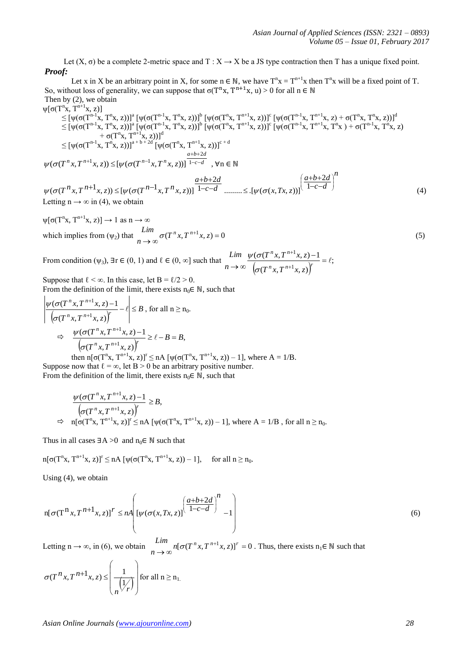Let  $(X, \sigma)$  be a complete 2-metric space and T :  $X \to X$  be a JS type contraction then T has a unique fixed point. *Proof:* 

Let x in X be an arbitrary point in X, for some  $n \in \mathbb{N}$ , we have  $T^n x = T^{n+1}x$  then  $T^n x$  will be a fixed point of T. So, without loss of generality, we can suppose that  $\sigma(T^n x, T^{n+1} x, u) > 0$  for all  $n \in \mathbb{N}$ Then by (2), we obtain

ψ[σ(T<sup>n</sup> x, Tn+1x, z)] ≤ [ψ(σ(Tn-1 x, T<sup>n</sup> x, z))]<sup>a</sup> [ψ(σ(Tn-1 x, T<sup>n</sup> x, z))]<sup>b</sup> [ψ(σ(T n x, Tn+1x, z))]<sup>c</sup> [ψ(σ(Tn-1 x, Tn+1x, z) + σ(T<sup>n</sup> x, T<sup>n</sup> x, z))]<sup>d</sup> ≤ [ψ(σ(Tn-1 x, T<sup>n</sup> x, z))]<sup>a</sup> [ψ(σ(Tn-1 x, T<sup>n</sup> x, z))]<sup>b</sup> [ψ(σ(T<sup>n</sup> x, Tn+1x, z))]<sup>c</sup> [ψ(σ(Tn-1 x, Tn+1x, T<sup>n</sup> x ) + σ(Tn-1 x, T<sup>n</sup> x, z) + σ(T<sup>n</sup> x, Tn+1x, z))]<sup>d</sup> ≤ [ψ(σ(Tn-1 x, T<sup>n</sup> x, z))]a + b + 2d [ψ(σ(T<sup>n</sup> x, Tn+1x, z))]<sup>c</sup> + d *c d a b d n n n n T x T x z T x T x z* 1 2 <sup>1</sup> <sup>1</sup> (( , , )) [(( , , ))] , ∀n ∈ ℕ *n a b d* 2

*c d*  $c-d$  *........*  $\leq$  [ $\psi(\sigma(x, Tx, z))$  $a+b+2d$  $T^{n} x, T^{n+1} x, z) \leq [\psi(\sigma(T^{n-1} x, T^{n} x, z))]$   $\frac{a+b+2d}{1-c-d}$  .........  $\leq [\psi(\sigma(x, Tx, z))]$   $\frac{a+b+2d}{1-c-d}$ J  $\overline{\phantom{a}}$ l  $-c -c-d$  .........  $\leq$  $+b+$  $f(x, z) \leq [\psi(\sigma(T^{n-1}x, T^{n}x, z))]$   $\overline{1-c-d}$  .........  $\leq [\psi(\sigma(x, Tx, z))]^{n-1}$  $1-c-d$  .........  $\leq$  [ $\psi(\sigma(x, Tx, z))$ ] 2  $\psi(\sigma(T^{n}x, T^{n+1}x, z)) \leq [\psi(\sigma(T^{n-1}x, T^{n}x, z))]$   $\overline{1-c-d}$  .........  $\leq [\psi(\sigma(x, Tx, z))]^{(1-c-d)}$  (4) Letting  $n \rightarrow \infty$  in (4), we obtain

 $\psi[\sigma(T^n x, T^{n+1} x, z)] \rightarrow 1$  as  $n \rightarrow \infty$ which implies from  $(\psi_2)$  that  $\lim_{n \to \infty} \sigma(T^n x, T^{n+1} x, z) = 0$  $\frac{L}{n}$   $\sigma(T^n x, T^{n+1} x, z)$ *Lim*  $\sigma(T^n x, T^n)$ 

From condition ( $\psi_3$ ),  $\exists r \in (0, 1)$  and  $\ell \in (0, \infty]$  such that  $\left[\sigma(T^n x, T^{n+1} x, z)\right]$ ;  $(T^n x, T^{n+1} x, z)$  $(\sigma(T^{n}x, T^{n+1}x, z) - 1)$ 1 1  $\frac{-1}{\cdot} = \ell$  $\rightarrow \infty$   $\int_{\sigma(T^{n} \times T^{n+1})}$  $^{+}$  $\binom{n}{r}$   $T^{n+1}$   $\binom{r}{r}$  $n \times T$ <sup>*n*</sup>  $T^n x, T^{n+1} x, z$  $T^n x, T^{n+1} x, z$ *n Lim* σ  $\psi(\sigma)$ 

Suppose that  $\ell < \infty$ . In this case, let B =  $\ell/2 > 0$ . From the definition of the limit, there exists  $n_0 \in \mathbb{N}$ , such that

$$
\left| \frac{\psi(\sigma(T^{n}x, T^{n+1}x, z) - 1)}{\left(\sigma(T^{n}x, T^{n+1}x, z)\right)^{r}} - \ell \right| \leq B, \text{ for all } n \geq n_{0}.
$$
\n
$$
\Rightarrow \frac{\psi(\sigma(T^{n}x, T^{n+1}x, z) - 1)}{\left(\sigma(T^{n}x, T^{n+1}x, z)\right)^{r}} \geq \ell - B = B,
$$
\nthen n[ $\sigma(T^{n}x, T^{n+1}x, z)$ ]^{r} \leq nA [  $\psi(\sigma(T^{n}x, T^{n+1}x, z)) - 1$ ], where A = 1/B.

Suppose now that  $\ell = \infty$ , let B > 0 be an arbitrary positive number. From the definition of the limit, there exists  $n_0 \in \mathbb{N}$ , such that

$$
\frac{\psi(\sigma(T^n x, T^{n+1} x, z) - 1}{\left(\sigma(T^n x, T^{n+1} x, z)\right)^r} \ge B,
$$
  
\n
$$
\Rightarrow \quad n[\sigma(T^n x, T^{n+1} x, z)]^r \le nA \left[\psi(\sigma(T^n x, T^{n+1} x, z)) - 1\right], \text{ where } A = 1/B \text{ , for all } n \ge n_0.
$$

Thus in all cases  $\exists A > 0$  and  $n_0 \in \mathbb{N}$  such that

 $n[\sigma(T^n x, T^{n+1} x, z)]^r \leq nA \left[ \psi(\sigma(T^n x, T^{n+1} x, z)) - 1 \right]$ , for all  $n \geq n_0$ .

Using (4), we obtain

$$
n[\sigma(T^{n}x, T^{n+1}x, z)]^{r} \leq nA \left[ \psi(\sigma(x, Tx, z)) \left( \frac{a+b+2d}{1-c-d} \right)^{n} - 1 \right]
$$
\n
$$
(6)
$$

Letting n  $\rightarrow \infty$ , in (6), we obtain  $\lim_{n \to \infty} n[\sigma(T^n x, T^{n+1} x, z)]^r = 0$  $n[\sigma(T^n x, T^{n+1} x, z)]^T$ *Lim*  $n[\sigma(T^n x, T^{n+1} x, z)]^r = 0$ . Thus, there exists  $n_1 \in \mathbb{N}$  such that

$$
\sigma(T^n x, T^{n+1} x, z) \le \left(\frac{1}{\sqrt{\frac{1}{r}}}\right) \text{ for all } n \ge n_1.
$$

(5)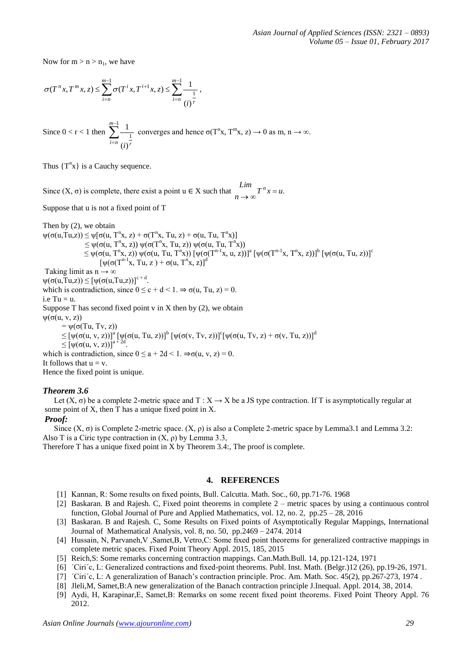Now for  $m > n > n_1$ , we have

$$
\sigma(T^{n}x, T^{m}x, z) \leq \sum_{i=n}^{m-1} \sigma(T^{i}x, T^{i+1}x, z) \leq \sum_{i=n}^{m-1} \frac{1}{(i)^{r}},
$$

Since  $0 < r < 1$  then  $\sum_{n=1}^{m-1}$ = 1 1  $(i)$  $\sum_{m=1}^{m-1} 1$  $e^{i=n}$   $(i)$ <sup>*r*</sup> converges and hence  $\sigma(T^n x, T^m x, z) \to 0$  as m, n  $\to \infty$ .

Thus  $\{T^n x\}$  is a Cauchy sequence.

Since  $(X, \sigma)$  is complete, there exist a point  $u \in X$  such that  $\int_{n \to \infty}^{n} T^n x = u$ .  $\lim_{x \to \infty} T^n x =$ 

Suppose that u is not a fixed point of T

Then by (2), we obtain  $\psi(\sigma(u, Tu, z)) \leq \psi[\sigma(u, T^n x, z) + \sigma(T^n x, Tu, z) + \sigma(u, Tu, T^n x)]$  $\leq \psi(\sigma(u, T^n x, z)) \psi(\sigma(T^n x, Tu, z)) \psi(\sigma(u, Tu, T^n$ x))  $\leq \psi(\sigma(u, T^{n}x, z)) \psi(\sigma(u, Tu, T^{n}x)) [\psi(\sigma(T^{n-1}x, u, z))]^{a} [\psi(\sigma(T^{n-1}x, T^{n}x, z))]^{b} [\psi(\sigma(u, Tu, z))]^{c}$  $[\psi(\sigma(T^{n-1}x, Tu, z) + \sigma(u, T^n x, z)]^d$ Taking limit as  $n \rightarrow \infty$  $\psi(\sigma(u,Tu,z)) \leq [\psi(\sigma(u,Tu,z))]^{c+d}.$ which is contradiction, since  $0 \le c + d < 1$ .  $\Rightarrow \sigma(u, Tu, z) = 0$ .  $i.e$  Tu = u. Suppose T has second fixed point  $v$  in  $X$  then by (2), we obtain  $\psi(\sigma(u, v, z))$  $=$   $\psi$ (σ(Tu, Tv, z))  $\leq$  [ψ(σ(u, v, z))]<sup>a</sup> [ψ(σ(u, Tu, z))]<sup>b</sup> [ψ(σ(v, Tv, z))]<sup>c</sup>[ψ(σ(u, Tv, z) + σ(v, Tu, z))]<sup>d</sup>  $\leq [\psi(\sigma(u, v, z))]^{a}$ . which is contradiction, since  $0 \le a + 2d < 1$ .  $\Rightarrow \sigma(u, v, z) = 0$ . It follows that  $u = v$ . Hence the fixed point is unique.

# *Theorem 3.6*

Let  $(X, \sigma)$  be a complete 2-metric space and T :  $X \to X$  be a JS type contraction. If T is asymptotically regular at some point of X, then T has a unique fixed point in X.

## *Proof:*

Since  $(X, \sigma)$  is Complete 2-metric space.  $(X, \rho)$  is also a Complete 2-metric space by Lemma3.1 and Lemma 3.2: Also T is a Ciric type contraction in  $(X, \rho)$  by Lemma 3.3,

Therefore T has a unique fixed point in X by Theorem 3.4:, The proof is complete.

## **4. REFERENCES**

- [1] Kannan, R: Some results on fixed points, Bull. Calcutta. Math. Soc., 60, pp.71-76. 1968
- [2] Baskaran. B and Rajesh. C, Fixed point theorems in complete 2 metric spaces by using a continuous control function, Global Journal of Pure and Applied Mathematics, vol. 12, no. 2, pp.25 – 28, 2016
- [3] Baskaran. B and Rajesh. C, Some Results on Fixed points of Asymptotically Regular Mappings, International Journal of Mathematical Analysis, vol. 8, no. 50, pp.2469 – 2474. 2014
- [4] Hussain, N, Parvaneh,V ,Samet,B, Vetro,C: Some fixed point theorems for generalized contractive mappings in complete metric spaces. Fixed Point Theory Appl. 2015, 185, 2015
- [5] Reich,S: Some remarks concerning contraction mappings. Can.Math.Bull. 14, pp.121-124, 1971
- [6] ´Ciri´c, L: Generalized contractions and fixed-point theorems. Publ. Inst. Math. (Belgr.)12 (26), pp.19-26, 1971.
- [7] ´Ciri´c, L: A generalization of Banach's contraction principle. Proc. Am. Math. Soc. 45(2), pp.267-273, 1974 .
- [8] Jleli,M, Samet,B:A new generalization of the Banach contraction principle J.Inequal. Appl. 2014, 38, 2014.
- [9] Aydi, H, Karapinar,E, Samet,B: Remarks on some recent fixed point theorems. Fixed Point Theory Appl. 76 2012.